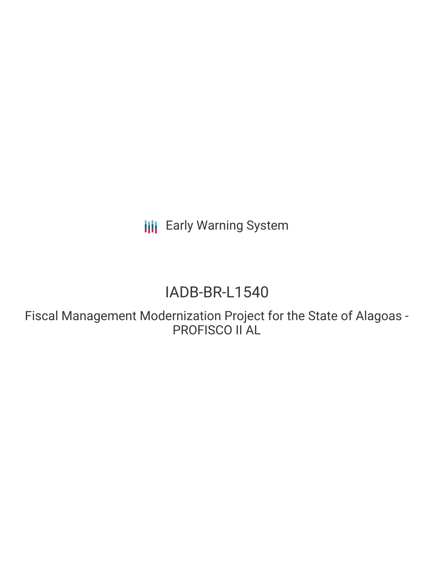**III** Early Warning System

# IADB-BR-L1540

Fiscal Management Modernization Project for the State of Alagoas - PROFISCO II AL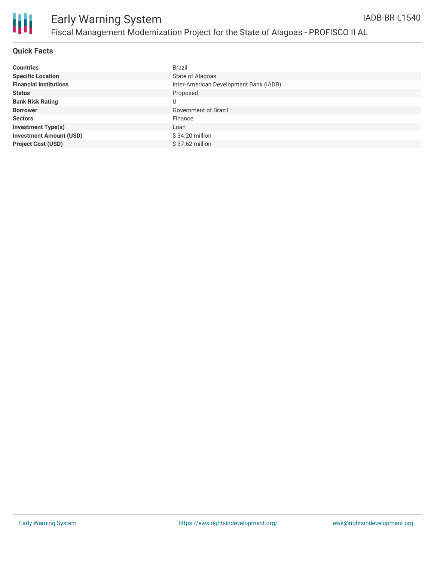

#### **Quick Facts**

| <b>Countries</b>               | <b>Brazil</b>                          |
|--------------------------------|----------------------------------------|
| <b>Specific Location</b>       | State of Alagoas                       |
| <b>Financial Institutions</b>  | Inter-American Development Bank (IADB) |
| <b>Status</b>                  | Proposed                               |
| <b>Bank Risk Rating</b>        | U                                      |
| <b>Borrower</b>                | Government of Brazil                   |
| <b>Sectors</b>                 | Finance                                |
| <b>Investment Type(s)</b>      | Loan                                   |
| <b>Investment Amount (USD)</b> | \$34.20 million                        |
| <b>Project Cost (USD)</b>      | $$37.62$ million                       |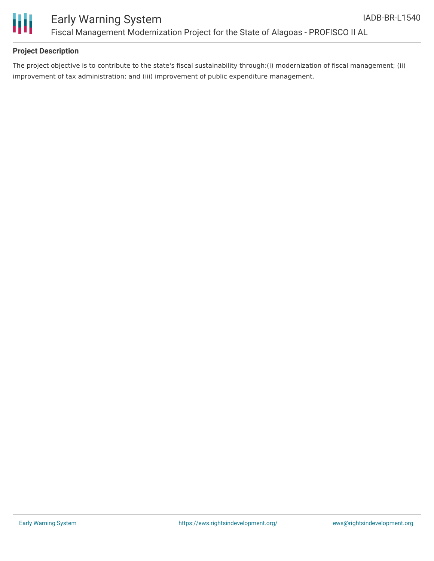

# **Project Description**

The project objective is to contribute to the state's fiscal sustainability through:(i) modernization of fiscal management; (ii) improvement of tax administration; and (iii) improvement of public expenditure management.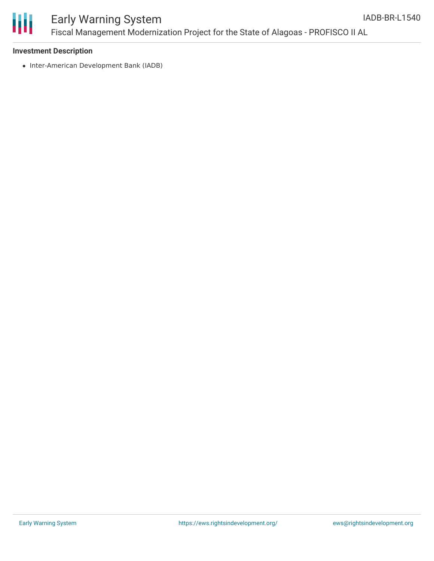

# Early Warning System Fiscal Management Modernization Project for the State of Alagoas - PROFISCO II AL

### **Investment Description**

• Inter-American Development Bank (IADB)